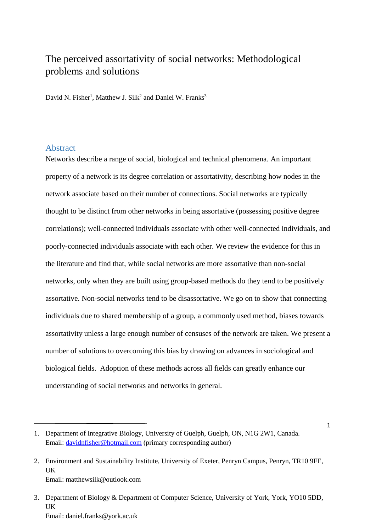# The perceived assortativity of social networks: Methodological problems and solutions

David N. Fisher<sup>1</sup>, Matthew J. Silk<sup>2</sup> and Daniel W. Franks<sup>3</sup>

### Abstract

Networks describe a range of social, biological and technical phenomena. An important property of a network is its degree correlation or assortativity, describing how nodes in the network associate based on their number of connections. Social networks are typically thought to be distinct from other networks in being assortative (possessing positive degree correlations); well-connected individuals associate with other well-connected individuals, and poorly-connected individuals associate with each other. We review the evidence for this in the literature and find that, while social networks are more assortative than non-social networks, only when they are built using group-based methods do they tend to be positively assortative. Non-social networks tend to be disassortative. We go on to show that connecting individuals due to shared membership of a group, a commonly used method, biases towards assortativity unless a large enough number of censuses of the network are taken. We present a number of solutions to overcoming this bias by drawing on advances in sociological and biological fields. Adoption of these methods across all fields can greatly enhance our understanding of social networks and networks in general.

1

<sup>1.</sup> Department of Integrative Biology, University of Guelph, Guelph, ON, N1G 2W1, Canada. Email: [davidnfisher@hotmail.com](mailto:davidnfisher@hotmail.com) (primary corresponding author)

<sup>2.</sup> Environment and Sustainability Institute, University of Exeter, Penryn Campus, Penryn, TR10 9FE, **IK** Email: matthewsilk@outlook.com

<sup>3.</sup> Department of Biology & Department of Computer Science, University of York, York, YO10 5DD, UK Email: daniel.franks@york.ac.uk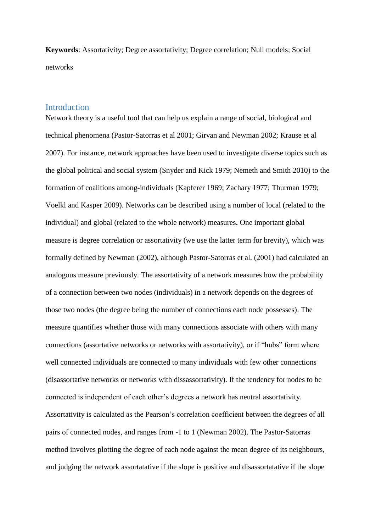**Keywords**: Assortativity; Degree assortativity; Degree correlation; Null models; Social networks

# Introduction

Network theory is a useful tool that can help us explain a range of social, biological and technical phenomena (Pastor-Satorras et al 2001; Girvan and Newman 2002; Krause et al 2007). For instance, network approaches have been used to investigate diverse topics such as the global political and social system (Snyder and Kick 1979; Nemeth and Smith 2010) to the formation of coalitions among-individuals (Kapferer 1969; Zachary 1977; Thurman 1979; Voelkl and Kasper 2009). Networks can be described using a number of local (related to the individual) and global (related to the whole network) measures**.** One important global measure is degree correlation or assortativity (we use the latter term for brevity), which was formally defined by Newman (2002), although Pastor-Satorras et al. (2001) had calculated an analogous measure previously. The assortativity of a network measures how the probability of a connection between two nodes (individuals) in a network depends on the degrees of those two nodes (the degree being the number of connections each node possesses). The measure quantifies whether those with many connections associate with others with many connections (assortative networks or networks with assortativity), or if "hubs" form where well connected individuals are connected to many individuals with few other connections (disassortative networks or networks with dissassortativity). If the tendency for nodes to be connected is independent of each other's degrees a network has neutral assortativity. Assortativity is calculated as the Pearson's correlation coefficient between the degrees of all pairs of connected nodes, and ranges from -1 to 1 (Newman 2002). The Pastor-Satorras method involves plotting the degree of each node against the mean degree of its neighbours, and judging the network assortatative if the slope is positive and disassortatative if the slope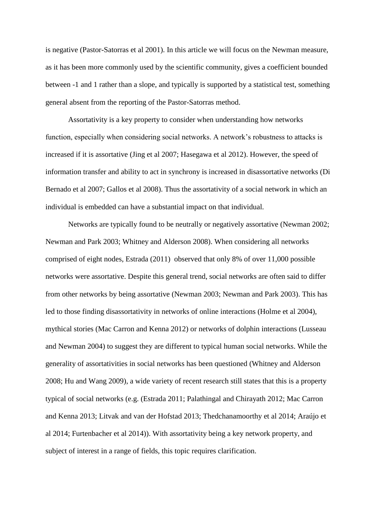is negative (Pastor-Satorras et al 2001). In this article we will focus on the Newman measure, as it has been more commonly used by the scientific community, gives a coefficient bounded between -1 and 1 rather than a slope, and typically is supported by a statistical test, something general absent from the reporting of the Pastor-Satorras method.

Assortativity is a key property to consider when understanding how networks function, especially when considering social networks. A network's robustness to attacks is increased if it is assortative (Jing et al 2007; Hasegawa et al 2012). However, the speed of information transfer and ability to act in synchrony is increased in disassortative networks (Di Bernado et al 2007; Gallos et al 2008). Thus the assortativity of a social network in which an individual is embedded can have a substantial impact on that individual.

Networks are typically found to be neutrally or negatively assortative (Newman 2002; Newman and Park 2003; Whitney and Alderson 2008). When considering all networks comprised of eight nodes, Estrada (2011) observed that only 8% of over 11,000 possible networks were assortative. Despite this general trend, social networks are often said to differ from other networks by being assortative (Newman 2003; Newman and Park 2003). This has led to those finding disassortativity in networks of online interactions (Holme et al 2004), mythical stories (Mac Carron and Kenna 2012) or networks of dolphin interactions (Lusseau and Newman 2004) to suggest they are different to typical human social networks. While the generality of assortativities in social networks has been questioned (Whitney and Alderson 2008; Hu and Wang 2009), a wide variety of recent research still states that this is a property typical of social networks (e.g. (Estrada 2011; Palathingal and Chirayath 2012; Mac Carron and Kenna 2013; Litvak and van der Hofstad 2013; Thedchanamoorthy et al 2014; Araújo et al 2014; Furtenbacher et al 2014)). With assortativity being a key network property, and subject of interest in a range of fields, this topic requires clarification.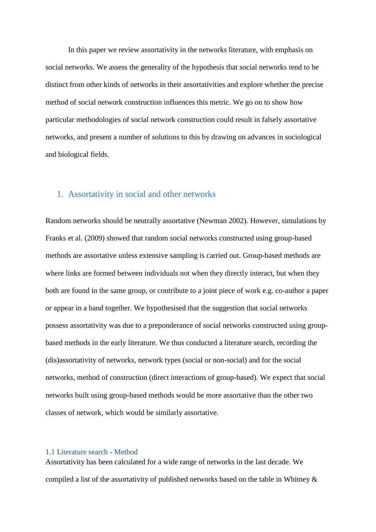In this paper we review assortativity in the networks literature, with emphasis on social networks. We assess the generality of the hypothesis that social networks tend to be distinct from other kinds of networks in their assortativities and explore whether the precise method of social network construction influences this metric. We go on to show how particular methodologies of social network construction could result in falsely assortative networks, and present a number of solutions to this by drawing on advances in sociological and biological fields.

# 1. Assortativity in social and other networks

Random networks should be neutrally assortative (Newman 2002). However, simulations by Franks et al. (2009) showed that random social networks constructed using group-based methods are assortative unless extensive sampling is carried out. Group-based methods are where links are formed between individuals not when they directly interact, but when they both are found in the same group, or contribute to a joint piece of work e.g. co-author a paper or appear in a band together. We hypothesised that the suggestion that social networks possess assortativity was due to a preponderance of social networks constructed using groupbased methods in the early literature. We thus conducted a literature search, recording the (dis)assortativity of networks, network types (social or non-social) and for the social networks, method of construction (direct interactions of group-based). We expect that social networks built using group-based methods would be more assortative than the other two classes of network, which would be similarly assortative.

#### 1.1 Literature search - Method

Assortativity has been calculated for a wide range of networks in the last decade. We compiled a list of the assortativity of published networks based on the table in Whitney &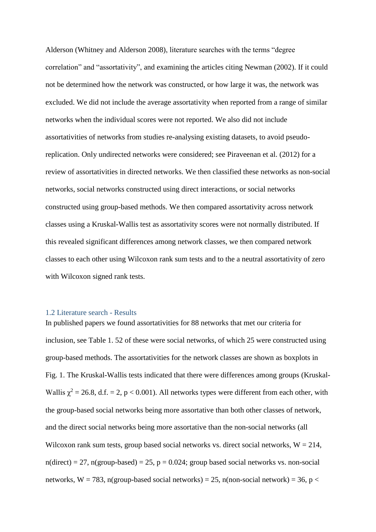Alderson (Whitney and Alderson 2008), literature searches with the terms "degree correlation" and "assortativity", and examining the articles citing Newman (2002). If it could not be determined how the network was constructed, or how large it was, the network was excluded. We did not include the average assortativity when reported from a range of similar networks when the individual scores were not reported. We also did not include assortativities of networks from studies re-analysing existing datasets, to avoid pseudoreplication. Only undirected networks were considered; see Piraveenan et al. (2012) for a review of assortativities in directed networks. We then classified these networks as non-social networks, social networks constructed using direct interactions, or social networks constructed using group-based methods. We then compared assortativity across network classes using a Kruskal-Wallis test as assortativity scores were not normally distributed. If this revealed significant differences among network classes, we then compared network classes to each other using Wilcoxon rank sum tests and to the a neutral assortativity of zero with Wilcoxon signed rank tests.

#### 1.2 Literature search - Results

In published papers we found assortativities for 88 networks that met our criteria for inclusion, see Table 1. 52 of these were social networks, of which 25 were constructed using group-based methods. The assortativities for the network classes are shown as boxplots in Fig. 1. The Kruskal-Wallis tests indicated that there were differences among groups (Kruskal-Wallis  $\chi^2 = 26.8$ , d.f. = 2, p < 0.001). All networks types were different from each other, with the group-based social networks being more assortative than both other classes of network, and the direct social networks being more assortative than the non-social networks (all Wilcoxon rank sum tests, group based social networks vs. direct social networks,  $W = 214$ ,  $n(direct) = 27$ ,  $n(group-based) = 25$ ,  $p = 0.024$ ; group based social networks vs. non-social networks, W = 783, n(group-based social networks) = 25, n(non-social network) = 36, p <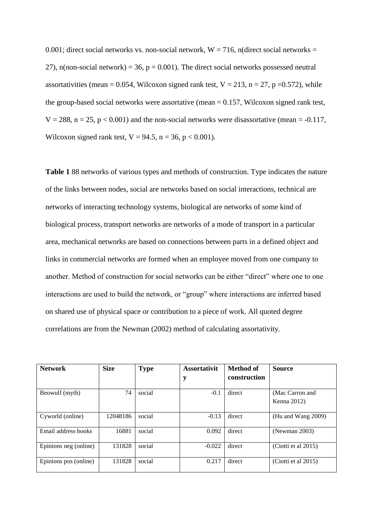0.001; direct social networks vs. non-social network,  $W = 716$ , n(direct social networks = 27), n(non-social network) = 36,  $p = 0.001$ ). The direct social networks possessed neutral assortativities (mean = 0.054, Wilcoxon signed rank test,  $V = 213$ , n = 27, p = 0.572), while the group-based social networks were assortative (mean  $= 0.157$ , Wilcoxon signed rank test,  $V = 288$ ,  $n = 25$ ,  $p < 0.001$ ) and the non-social networks were disassortative (mean = -0.117, Wilcoxon signed rank test,  $V = 94.5$ ,  $n = 36$ ,  $p < 0.001$ ).

**Table 1** 88 networks of various types and methods of construction. Type indicates the nature of the links between nodes, social are networks based on social interactions, technical are networks of interacting technology systems, biological are networks of some kind of biological process, transport networks are networks of a mode of transport in a particular area, mechanical networks are based on connections between parts in a defined object and links in commercial networks are formed when an employee moved from one company to another. Method of construction for social networks can be either "direct" where one to one interactions are used to build the network, or "group" where interactions are inferred based on shared use of physical space or contribution to a piece of work. All quoted degree correlations are from the Newman (2002) method of calculating assortativity.

| <b>Network</b>        | <b>Size</b> | <b>Type</b> | <b>Assortativit</b><br>y | Method of<br>construction | <b>Source</b>                  |
|-----------------------|-------------|-------------|--------------------------|---------------------------|--------------------------------|
| Beowulf (myth)        | 74          | social      | $-0.1$                   | direct                    | (Mac Carron and<br>Kenna 2012) |
| Cyworld (online)      | 12048186    | social      | $-0.13$                  | direct                    | (Hu and Wang 2009)             |
| Email address books   | 16881       | social      | 0.092                    | direct                    | (Newman 2003)                  |
| Epinions neg (online) | 131828      | social      | $-0.022$                 | direct                    | (Ciotti et al 2015)            |
| Epinions pos (online) | 131828      | social      | 0.217                    | direct                    | (Ciotti et al $2015$ )         |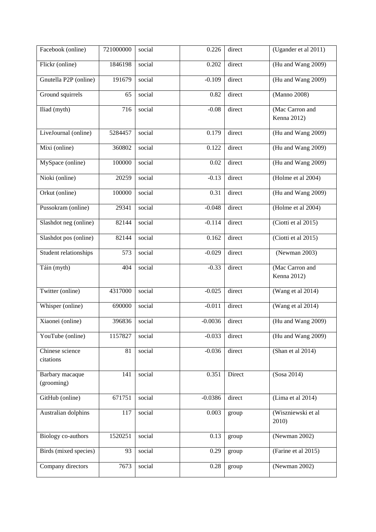| Facebook (online)             | 721000000 | social | 0.226     | direct | (Ugander et al 2011)           |
|-------------------------------|-----------|--------|-----------|--------|--------------------------------|
| Flickr (online)               | 1846198   | social | 0.202     | direct | (Hu and Wang 2009)             |
| Gnutella P2P (online)         | 191679    | social | $-0.109$  | direct | (Hu and Wang 2009)             |
| Ground squirrels              | 65        | social | 0.82      | direct | (Manno 2008)                   |
| Iliad (myth)                  | 716       | social | $-0.08$   | direct | (Mac Carron and<br>Kenna 2012) |
| LiveJournal (online)          | 5284457   | social | 0.179     | direct | (Hu and Wang 2009)             |
| Mixi (online)                 | 360802    | social | 0.122     | direct | (Hu and Wang 2009)             |
| MySpace (online)              | 100000    | social | 0.02      | direct | (Hu and Wang 2009)             |
| Nioki (online)                | 20259     | social | $-0.13$   | direct | (Holme et al 2004)             |
| Orkut (online)                | 100000    | social | 0.31      | direct | (Hu and Wang 2009)             |
| Pussokram (online)            | 29341     | social | $-0.048$  | direct | (Holme et al 2004)             |
| Slashdot neg (online)         | 82144     | social | $-0.114$  | direct | (Ciotti et al 2015)            |
| Slashdot pos (online)         | 82144     | social | 0.162     | direct | (Ciotti et al 2015)            |
| Student relationships         | 573       | social | $-0.029$  | direct | (Newman 2003)                  |
| Táin (myth)                   | 404       | social | $-0.33$   | direct | (Mac Carron and<br>Kenna 2012) |
| Twitter (online)              | 4317000   | social | $-0.025$  | direct | (Wang et al 2014)              |
| Whisper (online)              | 690000    | social | $-0.011$  | direct | (Wang et al 2014)              |
| Xiaonei (online)              | 396836    | social | $-0.0036$ | direct | (Hu and Wang 2009)             |
| YouTube (online)              | 1157827   | social | $-0.033$  | direct | (Hu and Wang 2009)             |
| Chinese science<br>citations  | 81        | social | $-0.036$  | direct | (Shan et al 2014)              |
| Barbary macaque<br>(grooming) | 141       | social | 0.351     | Direct | (Sosa 2014)                    |
| GitHub (online)               | 671751    | social | $-0.0386$ | direct | (Lima et al 2014)              |
| Australian dolphins           | 117       | social | 0.003     | group  | (Wiszniewski et al<br>2010)    |
| Biology co-authors            | 1520251   | social | 0.13      | group  | (Newman $2002$ )               |
| Birds (mixed species)         | 93        | social | 0.29      | group  | (Farine et al 2015)            |
| Company directors             | 7673      | social | 0.28      | group  | (Newman 2002)                  |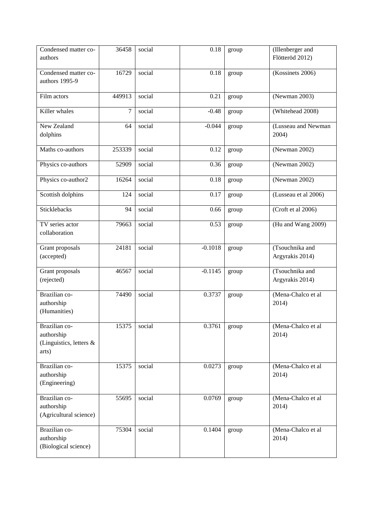| Condensed matter co-<br>authors                                 | 36458          | social | 0.18      | group | (Illenberger and<br>Flötteröd 2012) |
|-----------------------------------------------------------------|----------------|--------|-----------|-------|-------------------------------------|
| Condensed matter co-<br>authors 1995-9                          | 16729          | social | 0.18      | group | (Kossinets 2006)                    |
| Film actors                                                     | 449913         | social | 0.21      | group | (Newman 2003)                       |
| Killer whales                                                   | $\overline{7}$ | social | $-0.48$   | group | (Whitehead 2008)                    |
| New Zealand<br>dolphins                                         | 64             | social | $-0.044$  | group | (Lusseau and Newman<br>2004)        |
| Maths co-authors                                                | 253339         | social | 0.12      | group | (Newman 2002)                       |
| Physics co-authors                                              | 52909          | social | 0.36      | group | (Newman 2002)                       |
| Physics co-author2                                              | 16264          | social | 0.18      | group | (Newman 2002)                       |
| Scottish dolphins                                               | 124            | social | 0.17      | group | (Lusseau et al 2006)                |
| Sticklebacks                                                    | 94             | social | 0.66      | group | (Croft et al 2006)                  |
| TV series actor<br>collaboration                                | 79663          | social | 0.53      | group | (Hu and Wang 2009)                  |
| Grant proposals<br>(accepted)                                   | 24181          | social | $-0.1018$ | group | (Tsouchnika and<br>Argyrakis 2014)  |
| Grant proposals<br>(rejected)                                   | 46567          | social | $-0.1145$ | group | (Tsouchnika and<br>Argyrakis 2014)  |
| Brazilian co-<br>authorship<br>(Humanities)                     | 74490          | social | 0.3737    | group | (Mena-Chalco et al<br>2014)         |
| Brazilian co-<br>authorship<br>(Linguistics, letters &<br>arts) | 15375          | social | 0.3761    | group | (Mena-Chalco et al<br>2014)         |
| Brazilian co-<br>authorship<br>(Engineering)                    | 15375          | social | 0.0273    | group | (Mena-Chalco et al<br>2014)         |
| Brazilian co-<br>authorship<br>(Agricultural science)           | 55695          | social | 0.0769    | group | (Mena-Chalco et al<br>2014)         |
| Brazilian co-<br>authorship<br>(Biological science)             | 75304          | social | 0.1404    | group | (Mena-Chalco et al<br>2014)         |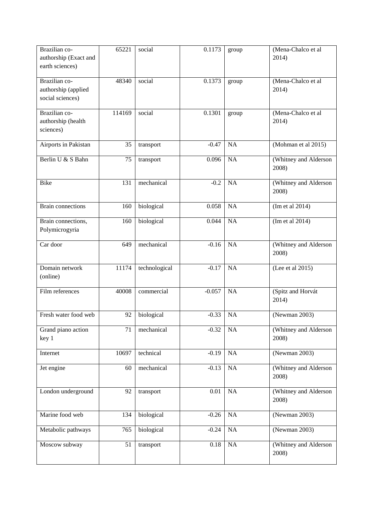| Brazilian co-<br>authorship (Exact and<br>earth sciences) | 65221           | social        | 0.1173   | group     | (Mena-Chalco et al<br>2014)    |
|-----------------------------------------------------------|-----------------|---------------|----------|-----------|--------------------------------|
| Brazilian co-<br>authorship (applied<br>social sciences)  | 48340           | social        | 0.1373   | group     | (Mena-Chalco et al<br>2014)    |
| Brazilian co-<br>authorship (health<br>sciences)          | 114169          | social        | 0.1301   | group     | (Mena-Chalco et al<br>2014)    |
| Airports in Pakistan                                      | 35              | transport     | $-0.47$  | <b>NA</b> | (Mohman et al 2015)            |
| Berlin U & S Bahn                                         | 75              | transport     | 0.096    | NA        | (Whitney and Alderson<br>2008) |
| <b>Bike</b>                                               | 131             | mechanical    | $-0.2$   | NA        | (Whitney and Alderson<br>2008) |
| <b>Brain connections</b>                                  | 160             | biological    | 0.058    | <b>NA</b> | (Im et al 2014)                |
| Brain connections,<br>Polymicrogyria                      | 160             | biological    | 0.044    | NA        | (Im et al 2014)                |
| Car door                                                  | 649             | mechanical    | $-0.16$  | <b>NA</b> | (Whitney and Alderson<br>2008) |
| Domain network<br>(online)                                | 11174           | technological | $-0.17$  | <b>NA</b> | (Lee et al 2015)               |
| Film references                                           | 40008           | commercial    | $-0.057$ | <b>NA</b> | (Spitz and Horvát<br>2014)     |
| Fresh water food web                                      | 92              | biological    | $-0.33$  | NA        | (Newman 2003)                  |
| Grand piano action<br>key 1                               | $\overline{71}$ | mechanical    | $-0.32$  | NA        | (Whitney and Alderson<br>2008) |
| Internet                                                  | 10697           | technical     | $-0.19$  | NA        | (Newman 2003)                  |
| Jet engine                                                | 60              | mechanical    | $-0.13$  | NA        | (Whitney and Alderson<br>2008) |
| London underground                                        | 92              | transport     | 0.01     | NA        | (Whitney and Alderson<br>2008) |
| Marine food web                                           | 134             | biological    | $-0.26$  | <b>NA</b> | (Newman 2003)                  |
| Metabolic pathways                                        | 765             | biological    | $-0.24$  | NA        | (Newman 2003)                  |
| Moscow subway                                             | 51              | transport     | 0.18     | NA        | (Whitney and Alderson<br>2008) |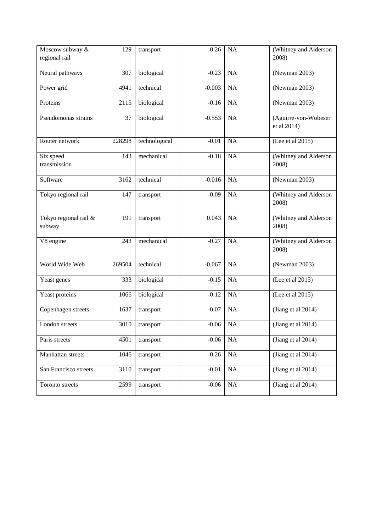| Moscow subway &<br>regional rail | 129    | transport     | 0.26     | <b>NA</b> | (Whitney and Alderson<br>2008)      |
|----------------------------------|--------|---------------|----------|-----------|-------------------------------------|
|                                  |        |               |          |           |                                     |
| Neural pathways                  | 307    | biological    | $-0.23$  | <b>NA</b> | (Newman 2003)                       |
| Power grid                       | 4941   | technical     | $-0.003$ | NA        | (Newman $2003$ )                    |
| Proteins                         | 2115   | biological    | $-0.16$  | <b>NA</b> | (Newman 2003)                       |
| Pseudomonas strains              | 37     | biological    | $-0.553$ | NA        | (Aguirre-von-Wobeser<br>et al 2014) |
| Router network                   | 228298 | technological | $-0.01$  | <b>NA</b> | (Lee et al 2015)                    |
| Six speed<br>transmission        | 143    | mechanical    | $-0.18$  | NA        | (Whitney and Alderson<br>2008)      |
| Software                         | 3162   | technical     | $-0.016$ | <b>NA</b> | (Newman 2003)                       |
| Tokyo regional rail              | 147    | transport     | $-0.09$  | NA        | (Whitney and Alderson<br>2008)      |
| Tokyo regional rail &<br>subway  | 191    | transport     | 0.043    | <b>NA</b> | (Whitney and Alderson<br>2008)      |
| V8 engine                        | 243    | mechanical    | $-0.27$  | <b>NA</b> | (Whitney and Alderson<br>2008)      |
| World Wide Web                   | 269504 | technical     | $-0.067$ | NA        | (Newman 2003)                       |
| Yeast genes                      | 333    | biological    | $-0.15$  | <b>NA</b> | (Lee et al 2015)                    |
| Yeast proteins                   | 1066   | biological    | $-0.12$  | NA        | (Lee et al 2015)                    |
| Copenhagen streets               | 1637   | transport     | $-0.07$  | NA        | (Jiang et al 2014)                  |
| London streets                   | 3010   | transport     | $-0.06$  | <b>NA</b> | (Jiang et al 2014)                  |
| Paris streets                    | 4501   | transport     | $-0.06$  | NA        | (Jiang et al $2014$ )               |
| Manhattan streets                | 1046   | transport     | $-0.26$  | NA        | (Jiang et al 2014)                  |
| San Francisco streets            | 3110   | transport     | $-0.01$  | NA        | (Jiang et al $2014$ )               |
| Toronto streets                  | 2599   | transport     | $-0.06$  | NA        | (Jiang et al $2014$ )               |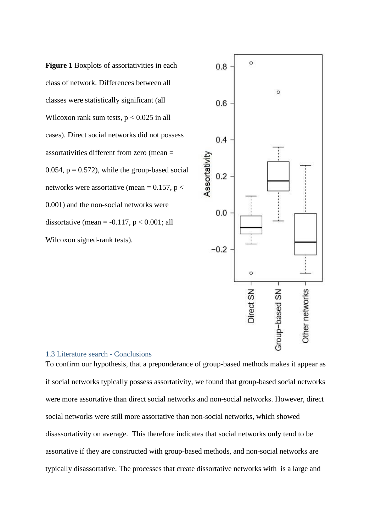**Figure 1** Boxplots of assortativities in each class of network. Differences between all classes were statistically significant (all Wilcoxon rank sum tests,  $p < 0.025$  in all cases). Direct social networks did not possess assortativities different from zero (mean = 0.054,  $p = 0.572$ , while the group-based social networks were assortative (mean =  $0.157$ , p < 0.001) and the non-social networks were dissortative (mean =  $-0.117$ , p < 0.001; all Wilcoxon signed-rank tests).



## 1.3 Literature search - Conclusions

To confirm our hypothesis, that a preponderance of group-based methods makes it appear as if social networks typically possess assortativity, we found that group-based social networks were more assortative than direct social networks and non-social networks. However, direct social networks were still more assortative than non-social networks, which showed disassortativity on average. This therefore indicates that social networks only tend to be assortative if they are constructed with group-based methods, and non-social networks are typically disassortative. The processes that create dissortative networks with is a large and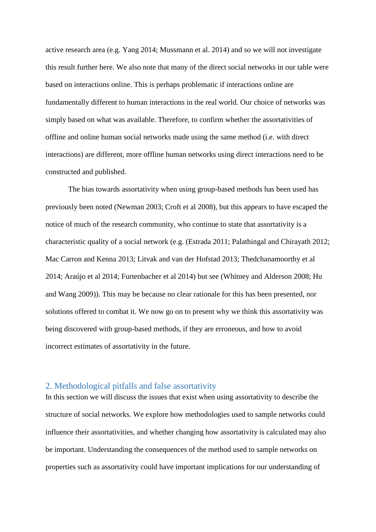active research area (e.g. Yang 2014; Mussmann et al. 2014) and so we will not investigate this result further here. We also note that many of the direct social networks in our table were based on interactions online. This is perhaps problematic if interactions online are fundamentally different to human interactions in the real world. Our choice of networks was simply based on what was available. Therefore, to confirm whether the assortativities of offline and online human social networks made using the same method (i.e. with direct interactions) are different, more offline human networks using direct interactions need to be constructed and published.

The bias towards assortativity when using group-based methods has been used has previously been noted (Newman 2003; Croft et al 2008), but this appears to have escaped the notice of much of the research community, who continue to state that assortativity is a characteristic quality of a social network (e.g. (Estrada 2011; Palathingal and Chirayath 2012; Mac Carron and Kenna 2013; Litvak and van der Hofstad 2013; Thedchanamoorthy et al 2014; Araújo et al 2014; Furtenbacher et al 2014) but see (Whitney and Alderson 2008; Hu and Wang 2009)). This may be because no clear rationale for this has been presented, nor solutions offered to combat it. We now go on to present why we think this assortativity was being discovered with group-based methods, if they are erroneous, and how to avoid incorrect estimates of assortativity in the future.

# 2. Methodological pitfalls and false assortativity

In this section we will discuss the issues that exist when using assortativity to describe the structure of social networks. We explore how methodologies used to sample networks could influence their assortativities, and whether changing how assortativity is calculated may also be important. Understanding the consequences of the method used to sample networks on properties such as assortativity could have important implications for our understanding of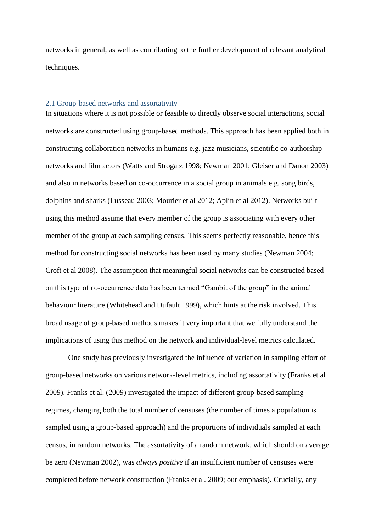networks in general, as well as contributing to the further development of relevant analytical techniques.

# 2.1 Group-based networks and assortativity

In situations where it is not possible or feasible to directly observe social interactions, social networks are constructed using group-based methods. This approach has been applied both in constructing collaboration networks in humans e.g. jazz musicians, scientific co-authorship networks and film actors (Watts and Strogatz 1998; Newman 2001; Gleiser and Danon 2003) and also in networks based on co-occurrence in a social group in animals e.g. song birds, dolphins and sharks (Lusseau 2003; Mourier et al 2012; Aplin et al 2012). Networks built using this method assume that every member of the group is associating with every other member of the group at each sampling census. This seems perfectly reasonable, hence this method for constructing social networks has been used by many studies (Newman 2004; Croft et al 2008). The assumption that meaningful social networks can be constructed based on this type of co-occurrence data has been termed "Gambit of the group" in the animal behaviour literature (Whitehead and Dufault 1999), which hints at the risk involved. This broad usage of group-based methods makes it very important that we fully understand the implications of using this method on the network and individual-level metrics calculated.

One study has previously investigated the influence of variation in sampling effort of group-based networks on various network-level metrics, including assortativity (Franks et al 2009). Franks et al. (2009) investigated the impact of different group-based sampling regimes, changing both the total number of censuses (the number of times a population is sampled using a group-based approach) and the proportions of individuals sampled at each census, in random networks. The assortativity of a random network, which should on average be zero (Newman 2002), was *always positive* if an insufficient number of censuses were completed before network construction (Franks et al. 2009; our emphasis). Crucially, any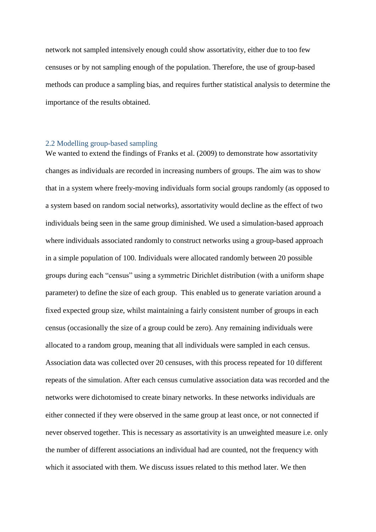network not sampled intensively enough could show assortativity, either due to too few censuses or by not sampling enough of the population. Therefore, the use of group-based methods can produce a sampling bias, and requires further statistical analysis to determine the importance of the results obtained.

# 2.2 Modelling group-based sampling

We wanted to extend the findings of Franks et al. (2009) to demonstrate how assortativity changes as individuals are recorded in increasing numbers of groups. The aim was to show that in a system where freely-moving individuals form social groups randomly (as opposed to a system based on random social networks), assortativity would decline as the effect of two individuals being seen in the same group diminished. We used a simulation-based approach where individuals associated randomly to construct networks using a group-based approach in a simple population of 100. Individuals were allocated randomly between 20 possible groups during each "census" using a symmetric Dirichlet distribution (with a uniform shape parameter) to define the size of each group. This enabled us to generate variation around a fixed expected group size, whilst maintaining a fairly consistent number of groups in each census (occasionally the size of a group could be zero). Any remaining individuals were allocated to a random group, meaning that all individuals were sampled in each census. Association data was collected over 20 censuses, with this process repeated for 10 different repeats of the simulation. After each census cumulative association data was recorded and the networks were dichotomised to create binary networks. In these networks individuals are either connected if they were observed in the same group at least once, or not connected if never observed together. This is necessary as assortativity is an unweighted measure i.e. only the number of different associations an individual had are counted, not the frequency with which it associated with them. We discuss issues related to this method later. We then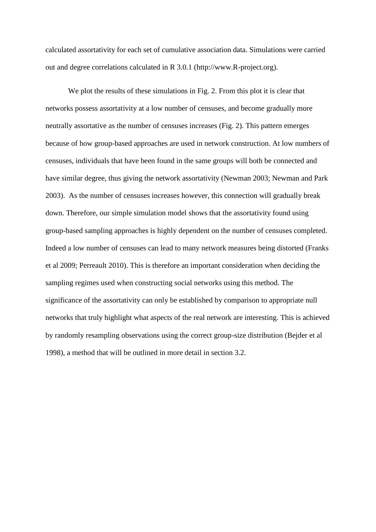calculated assortativity for each set of cumulative association data. Simulations were carried out and degree correlations calculated in R 3.0.1 (http://www.R-project.org).

We plot the results of these simulations in Fig. 2. From this plot it is clear that networks possess assortativity at a low number of censuses, and become gradually more neutrally assortative as the number of censuses increases (Fig. 2). This pattern emerges because of how group-based approaches are used in network construction. At low numbers of censuses, individuals that have been found in the same groups will both be connected and have similar degree, thus giving the network assortativity (Newman 2003; Newman and Park 2003). As the number of censuses increases however, this connection will gradually break down. Therefore, our simple simulation model shows that the assortativity found using group-based sampling approaches is highly dependent on the number of censuses completed. Indeed a low number of censuses can lead to many network measures being distorted (Franks et al 2009; Perreault 2010). This is therefore an important consideration when deciding the sampling regimes used when constructing social networks using this method. The significance of the assortativity can only be established by comparison to appropriate null networks that truly highlight what aspects of the real network are interesting. This is achieved by randomly resampling observations using the correct group-size distribution (Bejder et al 1998), a method that will be outlined in more detail in section 3.2.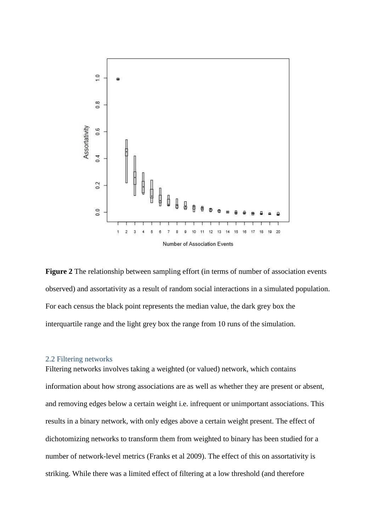

**Figure 2** The relationship between sampling effort (in terms of number of association events observed) and assortativity as a result of random social interactions in a simulated population. For each census the black point represents the median value, the dark grey box the interquartile range and the light grey box the range from 10 runs of the simulation.

#### 2.2 Filtering networks

Filtering networks involves taking a weighted (or valued) network, which contains information about how strong associations are as well as whether they are present or absent, and removing edges below a certain weight i.e. infrequent or unimportant associations. This results in a binary network, with only edges above a certain weight present. The effect of dichotomizing networks to transform them from weighted to binary has been studied for a number of network-level metrics (Franks et al 2009). The effect of this on assortativity is striking. While there was a limited effect of filtering at a low threshold (and therefore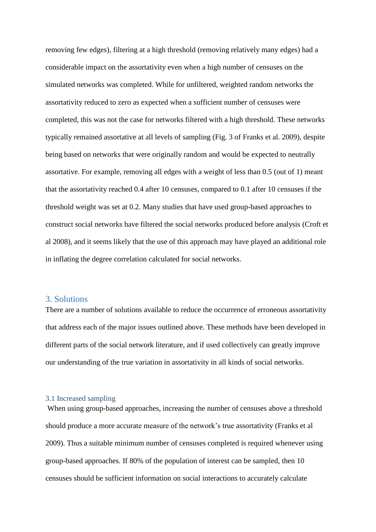removing few edges), filtering at a high threshold (removing relatively many edges) had a considerable impact on the assortativity even when a high number of censuses on the simulated networks was completed. While for unfiltered, weighted random networks the assortativity reduced to zero as expected when a sufficient number of censuses were completed, this was not the case for networks filtered with a high threshold. These networks typically remained assortative at all levels of sampling (Fig. 3 of Franks et al. 2009), despite being based on networks that were originally random and would be expected to neutrally assortative. For example, removing all edges with a weight of less than 0.5 (out of 1) meant that the assortativity reached 0.4 after 10 censuses, compared to 0.1 after 10 censuses if the threshold weight was set at 0.2. Many studies that have used group-based approaches to construct social networks have filtered the social networks produced before analysis (Croft et al 2008), and it seems likely that the use of this approach may have played an additional role in inflating the degree correlation calculated for social networks.

# 3. Solutions

There are a number of solutions available to reduce the occurrence of erroneous assortativity that address each of the major issues outlined above. These methods have been developed in different parts of the social network literature, and if used collectively can greatly improve our understanding of the true variation in assortativity in all kinds of social networks.

# 3.1 Increased sampling

When using group-based approaches, increasing the number of censuses above a threshold should produce a more accurate measure of the network's true assortativity (Franks et al 2009). Thus a suitable minimum number of censuses completed is required whenever using group-based approaches. If 80% of the population of interest can be sampled, then 10 censuses should be sufficient information on social interactions to accurately calculate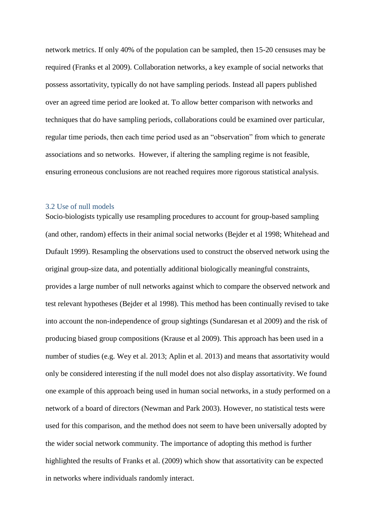network metrics. If only 40% of the population can be sampled, then 15-20 censuses may be required (Franks et al 2009). Collaboration networks, a key example of social networks that possess assortativity, typically do not have sampling periods. Instead all papers published over an agreed time period are looked at. To allow better comparison with networks and techniques that do have sampling periods, collaborations could be examined over particular, regular time periods, then each time period used as an "observation" from which to generate associations and so networks. However, if altering the sampling regime is not feasible, ensuring erroneous conclusions are not reached requires more rigorous statistical analysis.

#### 3.2 Use of null models

Socio-biologists typically use resampling procedures to account for group-based sampling (and other, random) effects in their animal social networks (Bejder et al 1998; Whitehead and Dufault 1999). Resampling the observations used to construct the observed network using the original group-size data, and potentially additional biologically meaningful constraints, provides a large number of null networks against which to compare the observed network and test relevant hypotheses (Bejder et al 1998). This method has been continually revised to take into account the non-independence of group sightings (Sundaresan et al 2009) and the risk of producing biased group compositions (Krause et al 2009). This approach has been used in a number of studies (e.g. Wey et al. 2013; Aplin et al. 2013) and means that assortativity would only be considered interesting if the null model does not also display assortativity. We found one example of this approach being used in human social networks, in a study performed on a network of a board of directors (Newman and Park 2003). However, no statistical tests were used for this comparison, and the method does not seem to have been universally adopted by the wider social network community. The importance of adopting this method is further highlighted the results of Franks et al. (2009) which show that assortativity can be expected in networks where individuals randomly interact.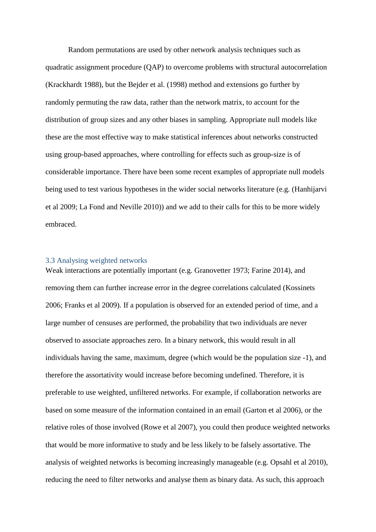Random permutations are used by other network analysis techniques such as quadratic assignment procedure (QAP) to overcome problems with structural autocorrelation (Krackhardt 1988), but the Bejder et al. (1998) method and extensions go further by randomly permuting the raw data, rather than the network matrix, to account for the distribution of group sizes and any other biases in sampling. Appropriate null models like these are the most effective way to make statistical inferences about networks constructed using group-based approaches, where controlling for effects such as group-size is of considerable importance. There have been some recent examples of appropriate null models being used to test various hypotheses in the wider social networks literature (e.g. (Hanhijarvi et al 2009; La Fond and Neville 2010)) and we add to their calls for this to be more widely embraced.

# 3.3 Analysing weighted networks

Weak interactions are potentially important (e.g. Granovetter 1973; Farine 2014), and removing them can further increase error in the degree correlations calculated (Kossinets 2006; Franks et al 2009). If a population is observed for an extended period of time, and a large number of censuses are performed, the probability that two individuals are never observed to associate approaches zero. In a binary network, this would result in all individuals having the same, maximum, degree (which would be the population size -1), and therefore the assortativity would increase before becoming undefined. Therefore, it is preferable to use weighted, unfiltered networks. For example, if collaboration networks are based on some measure of the information contained in an email (Garton et al 2006), or the relative roles of those involved (Rowe et al 2007), you could then produce weighted networks that would be more informative to study and be less likely to be falsely assortative. The analysis of weighted networks is becoming increasingly manageable (e.g. Opsahl et al 2010), reducing the need to filter networks and analyse them as binary data. As such, this approach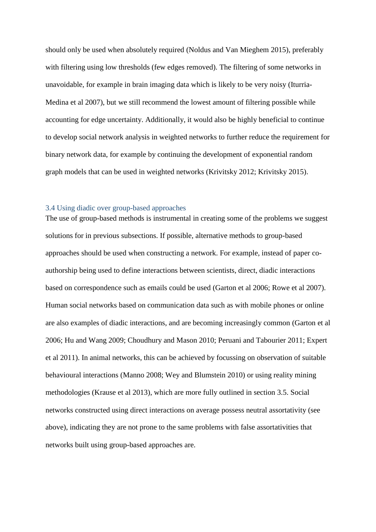should only be used when absolutely required (Noldus and Van Mieghem 2015), preferably with filtering using low thresholds (few edges removed). The filtering of some networks in unavoidable, for example in brain imaging data which is likely to be very noisy (Iturria-Medina et al 2007), but we still recommend the lowest amount of filtering possible while accounting for edge uncertainty. Additionally, it would also be highly beneficial to continue to develop social network analysis in weighted networks to further reduce the requirement for binary network data, for example by continuing the development of exponential random graph models that can be used in weighted networks (Krivitsky 2012; Krivitsky 2015).

### 3.4 Using diadic over group-based approaches

The use of group-based methods is instrumental in creating some of the problems we suggest solutions for in previous subsections. If possible, alternative methods to group-based approaches should be used when constructing a network. For example, instead of paper coauthorship being used to define interactions between scientists, direct, diadic interactions based on correspondence such as emails could be used (Garton et al 2006; Rowe et al 2007). Human social networks based on communication data such as with mobile phones or online are also examples of diadic interactions, and are becoming increasingly common (Garton et al 2006; Hu and Wang 2009; Choudhury and Mason 2010; Peruani and Tabourier 2011; Expert et al 2011). In animal networks, this can be achieved by focussing on observation of suitable behavioural interactions (Manno 2008; Wey and Blumstein 2010) or using reality mining methodologies (Krause et al 2013), which are more fully outlined in section 3.5. Social networks constructed using direct interactions on average possess neutral assortativity (see above), indicating they are not prone to the same problems with false assortativities that networks built using group-based approaches are.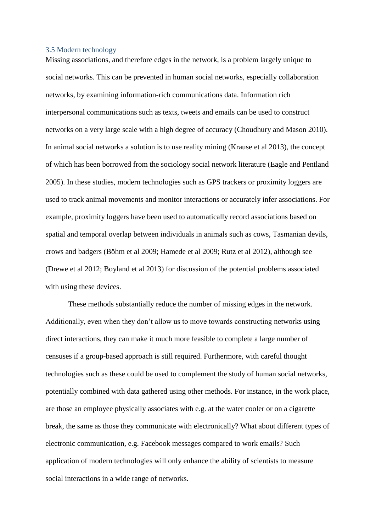#### 3.5 Modern technology

Missing associations, and therefore edges in the network, is a problem largely unique to social networks. This can be prevented in human social networks, especially collaboration networks, by examining information-rich communications data. Information rich interpersonal communications such as texts, tweets and emails can be used to construct networks on a very large scale with a high degree of accuracy (Choudhury and Mason 2010). In animal social networks a solution is to use reality mining (Krause et al 2013), the concept of which has been borrowed from the sociology social network literature (Eagle and Pentland 2005). In these studies, modern technologies such as GPS trackers or proximity loggers are used to track animal movements and monitor interactions or accurately infer associations. For example, proximity loggers have been used to automatically record associations based on spatial and temporal overlap between individuals in animals such as cows, Tasmanian devils, crows and badgers (Böhm et al 2009; Hamede et al 2009; Rutz et al 2012), although see (Drewe et al 2012; Boyland et al 2013) for discussion of the potential problems associated with using these devices.

These methods substantially reduce the number of missing edges in the network. Additionally, even when they don't allow us to move towards constructing networks using direct interactions, they can make it much more feasible to complete a large number of censuses if a group-based approach is still required. Furthermore, with careful thought technologies such as these could be used to complement the study of human social networks, potentially combined with data gathered using other methods. For instance, in the work place, are those an employee physically associates with e.g. at the water cooler or on a cigarette break, the same as those they communicate with electronically? What about different types of electronic communication, e.g. Facebook messages compared to work emails? Such application of modern technologies will only enhance the ability of scientists to measure social interactions in a wide range of networks.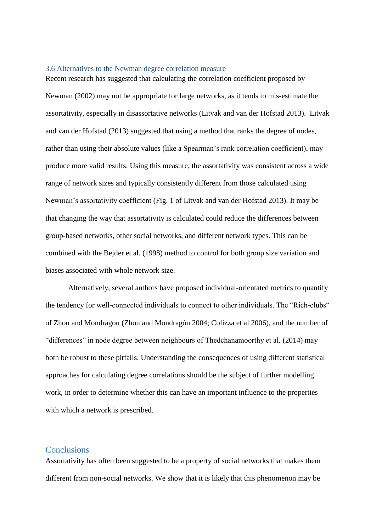#### 3.6 Alternatives to the Newman degree correlation measure

Recent research has suggested that calculating the correlation coefficient proposed by Newman (2002) may not be appropriate for large networks, as it tends to mis-estimate the assortativity, especially in disassortative networks (Litvak and van der Hofstad 2013). Litvak and van der Hofstad (2013) suggested that using a method that ranks the degree of nodes, rather than using their absolute values (like a Spearman's rank correlation coefficient), may produce more valid results. Using this measure, the assortativity was consistent across a wide range of network sizes and typically consistently different from those calculated using Newman's assortativity coefficient (Fig. 1 of Litvak and van der Hofstad 2013). It may be that changing the way that assortativity is calculated could reduce the differences between group-based networks, other social networks, and different network types. This can be combined with the Bejder et al. (1998) method to control for both group size variation and biases associated with whole network size.

Alternatively, several authors have proposed individual-orientated metrics to quantify the tendency for well-connected individuals to connect to other individuals. The "Rich-clubs" of Zhou and Mondragon (Zhou and Mondragón 2004; Colizza et al 2006), and the number of "differences" in node degree between neighbours of Thedchanamoorthy et al. (2014) may both be robust to these pitfalls. Understanding the consequences of using different statistical approaches for calculating degree correlations should be the subject of further modelling work, in order to determine whether this can have an important influence to the properties with which a network is prescribed.

## **Conclusions**

Assortativity has often been suggested to be a property of social networks that makes them different from non-social networks. We show that it is likely that this phenomenon may be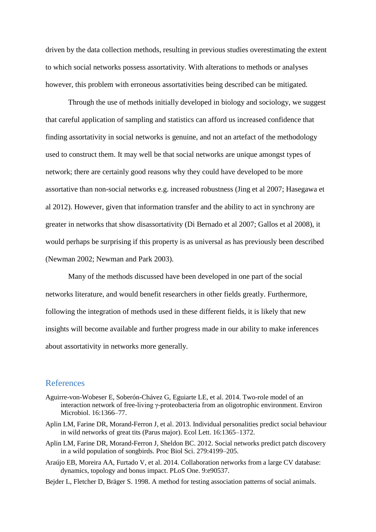driven by the data collection methods, resulting in previous studies overestimating the extent to which social networks possess assortativity. With alterations to methods or analyses however, this problem with erroneous assortativities being described can be mitigated.

Through the use of methods initially developed in biology and sociology, we suggest that careful application of sampling and statistics can afford us increased confidence that finding assortativity in social networks is genuine, and not an artefact of the methodology used to construct them. It may well be that social networks are unique amongst types of network; there are certainly good reasons why they could have developed to be more assortative than non-social networks e.g. increased robustness (Jing et al 2007; Hasegawa et al 2012). However, given that information transfer and the ability to act in synchrony are greater in networks that show disassortativity (Di Bernado et al 2007; Gallos et al 2008), it would perhaps be surprising if this property is as universal as has previously been described (Newman 2002; Newman and Park 2003).

Many of the methods discussed have been developed in one part of the social networks literature, and would benefit researchers in other fields greatly. Furthermore, following the integration of methods used in these different fields, it is likely that new insights will become available and further progress made in our ability to make inferences about assortativity in networks more generally.

## References

- Aguirre-von-Wobeser E, Soberón-Chávez G, Eguiarte LE, et al. 2014. Two-role model of an interaction network of free-living γ-proteobacteria from an oligotrophic environment. Environ Microbiol. 16:1366–77.
- Aplin LM, Farine DR, Morand-Ferron J, et al. 2013. Individual personalities predict social behaviour in wild networks of great tits (Parus major). Ecol Lett. 16:1365–1372.
- Aplin LM, Farine DR, Morand-Ferron J, Sheldon BC. 2012. Social networks predict patch discovery in a wild population of songbirds. Proc Biol Sci. 279:4199–205.
- Araújo EB, Moreira AA, Furtado V, et al. 2014. Collaboration networks from a large CV database: dynamics, topology and bonus impact. PLoS One. 9:e90537.
- Bejder L, Fletcher D, Bräger S. 1998. A method for testing association patterns of social animals.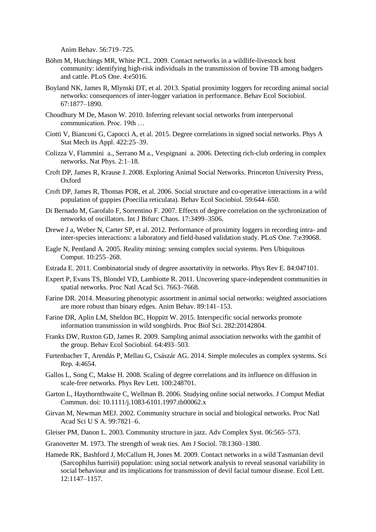Anim Behav. 56:719–725.

- Böhm M, Hutchings MR, White PCL. 2009. Contact networks in a wildlife-livestock host community: identifying high-risk individuals in the transmission of bovine TB among badgers and cattle. PLoS One. 4:e5016.
- Boyland NK, James R, Mlynski DT, et al. 2013. Spatial proximity loggers for recording animal social networks: consequences of inter-logger variation in performance. Behav Ecol Sociobiol. 67:1877–1890.
- Choudhury M De, Mason W. 2010. Inferring relevant social networks from interpersonal communication. Proc. 19th …
- Ciotti V, Bianconi G, Capocci A, et al. 2015. Degree correlations in signed social networks. Phys A Stat Mech its Appl. 422:25–39.
- Colizza V, Flammini a., Serrano M a., Vespignani a. 2006. Detecting rich-club ordering in complex networks. Nat Phys. 2:1–18.
- Croft DP, James R, Krause J. 2008. Exploring Animal Social Networks. Princeton University Press, Oxford
- Croft DP, James R, Thomas POR, et al. 2006. Social structure and co-operative interactions in a wild population of guppies (Poecilia reticulata). Behav Ecol Sociobiol. 59:644–650.
- Di Bernado M, Garofalo F, Sorrentino F. 2007. Effects of degree correlation on the sychronization of networks of oscillators. Int J Bifurc Chaos. 17:3499–3506.
- Drewe J a, Weber N, Carter SP, et al. 2012. Performance of proximity loggers in recording intra- and inter-species interactions: a laboratory and field-based validation study. PLoS One. 7:e39068.
- Eagle N, Pentland A. 2005. Reality mining: sensing complex social systems. Pers Ubiquitous Comput. 10:255–268.
- Estrada E. 2011. Combinatorial study of degree assortativity in networks. Phys Rev E. 84:047101.
- Expert P, Evans TS, Blondel VD, Lambiotte R. 2011. Uncovering space-independent communities in spatial networks. Proc Natl Acad Sci. 7663–7668.
- Farine DR. 2014. Measuring phenotypic assortment in animal social networks: weighted associations are more robust than binary edges. Anim Behav. 89:141–153.
- Farine DR, Aplin LM, Sheldon BC, Hoppitt W. 2015. Interspecific social networks promote information transmission in wild songbirds. Proc Biol Sci. 282:20142804.
- Franks DW, Ruxton GD, James R. 2009. Sampling animal association networks with the gambit of the group. Behav Ecol Sociobiol. 64:493–503.
- Furtenbacher T, Arendás P, Mellau G, Császár AG. 2014. Simple molecules as complex systems. Sci Rep. 4:4654.
- Gallos L, Song C, Makse H. 2008. Scaling of degree correlations and its influence on diffusion in scale-free networks. Phys Rev Lett. 100:248701.
- Garton L, Haythornthwaite C, Wellman B. 2006. Studying online social networks. J Comput Mediat Commun. doi: 10.1111/j.1083-6101.1997.tb00062.x
- Girvan M, Newman MEJ. 2002. Community structure in social and biological networks. Proc Natl Acad Sci U S A. 99:7821–6.
- Gleiser PM, Danon L. 2003. Community structure in jazz. Adv Complex Syst. 06:565–573.
- Granovetter M. 1973. The strength of weak ties. Am J Sociol. 78:1360–1380.
- Hamede RK, Bashford J, McCallum H, Jones M. 2009. Contact networks in a wild Tasmanian devil (Sarcophilus harrisii) population: using social network analysis to reveal seasonal variability in social behaviour and its implications for transmission of devil facial tumour disease. Ecol Lett. 12:1147–1157.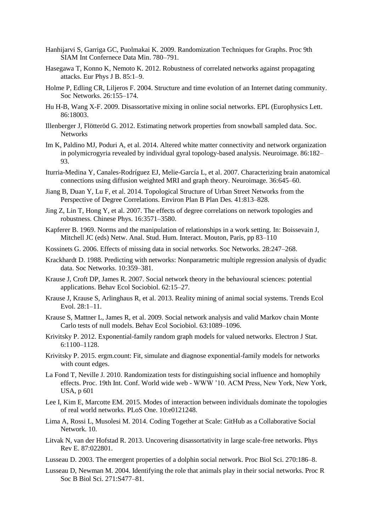- Hanhijarvi S, Garriga GC, Puolmakai K. 2009. Randomization Techniques for Graphs. Proc 9th SIAM Int Confernece Data Min. 780–791.
- Hasegawa T, Konno K, Nemoto K. 2012. Robustness of correlated networks against propagating attacks. Eur Phys J B. 85:1–9.
- Holme P, Edling CR, Liljeros F. 2004. Structure and time evolution of an Internet dating community. Soc Networks. 26:155–174.
- Hu H-B, Wang X-F. 2009. Disassortative mixing in online social networks. EPL (Europhysics Lett. 86:18003.
- Illenberger J, Flötteröd G. 2012. Estimating network properties from snowball sampled data. Soc. Networks
- Im K, Paldino MJ, Poduri A, et al. 2014. Altered white matter connectivity and network organization in polymicrogyria revealed by individual gyral topology-based analysis. Neuroimage. 86:182– 93.
- Iturria-Medina Y, Canales-Rodríguez EJ, Melie-García L, et al. 2007. Characterizing brain anatomical connections using diffusion weighted MRI and graph theory. Neuroimage. 36:645–60.
- Jiang B, Duan Y, Lu F, et al. 2014. Topological Structure of Urban Street Networks from the Perspective of Degree Correlations. Environ Plan B Plan Des. 41:813–828.
- Jing Z, Lin T, Hong Y, et al. 2007. The effects of degree correlations on network topologies and robustness. Chinese Phys. 16:3571–3580.
- Kapferer B. 1969. Norms and the manipulation of relationships in a work setting. In: Boissevain J, Mitchell JC (eds) Netw. Anal. Stud. Hum. Interact. Mouton, Paris, pp 83–110
- Kossinets G. 2006. Effects of missing data in social networks. Soc Networks. 28:247–268.
- Krackhardt D. 1988. Predicting with networks: Nonparametric multiple regression analysis of dyadic data. Soc Networks. 10:359–381.
- Krause J, Croft DP, James R. 2007. Social network theory in the behavioural sciences: potential applications. Behav Ecol Sociobiol. 62:15–27.
- Krause J, Krause S, Arlinghaus R, et al. 2013. Reality mining of animal social systems. Trends Ecol Evol. 28:1–11.
- Krause S, Mattner L, James R, et al. 2009. Social network analysis and valid Markov chain Monte Carlo tests of null models. Behav Ecol Sociobiol. 63:1089–1096.
- Krivitsky P. 2012. Exponential-family random graph models for valued networks. Electron J Stat. 6:1100–1128.
- Krivitsky P. 2015. ergm.count: Fit, simulate and diagnose exponential-family models for networks with count edges.
- La Fond T, Neville J. 2010. Randomization tests for distinguishing social influence and homophily effects. Proc. 19th Int. Conf. World wide web - WWW '10. ACM Press, New York, New York, USA, p 601
- Lee I, Kim E, Marcotte EM. 2015. Modes of interaction between individuals dominate the topologies of real world networks. PLoS One. 10:e0121248.
- Lima A, Rossi L, Musolesi M. 2014. Coding Together at Scale: GitHub as a Collaborative Social Network. 10.
- Litvak N, van der Hofstad R. 2013. Uncovering disassortativity in large scale-free networks. Phys Rev E. 87:022801.
- Lusseau D. 2003. The emergent properties of a dolphin social network. Proc Biol Sci. 270:186–8.
- Lusseau D, Newman M. 2004. Identifying the role that animals play in their social networks. Proc R Soc B Biol Sci. 271:S477–81.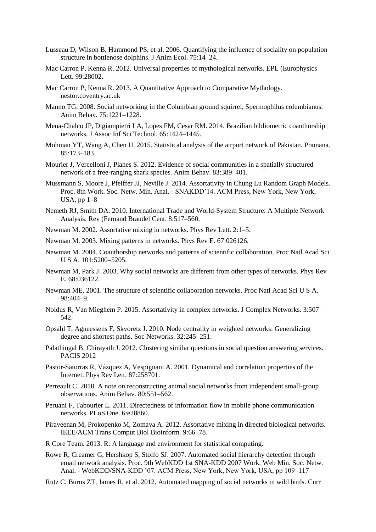- Lusseau D, Wilson B, Hammond PS, et al. 2006. Quantifying the influence of sociality on population structure in bottlenose dolphins. J Anim Ecol. 75:14–24.
- Mac Carron P, Kenna R. 2012. Universal properties of mythological networks. EPL (Europhysics Lett. 99:28002.
- Mac Carron P, Kenna R. 2013. A Quantitative Approach to Comparative Mythology. nestor.coventry.ac.uk
- Manno TG. 2008. Social networking in the Columbian ground squirrel, Spermophilus columbianus. Anim Behav. 75:1221–1228.
- Mena-Chalco JP, Digiampietri LA, Lopes FM, Cesar RM. 2014. Brazilian bibliometric coauthorship networks. J Assoc Inf Sci Technol. 65:1424–1445.
- Mohman YT, Wang A, Chen H. 2015. Statistical analysis of the airport network of Pakistan. Pramana. 85:173–183.
- Mourier J, Vercelloni J, Planes S. 2012. Evidence of social communities in a spatially structured network of a free-ranging shark species. Anim Behav. 83:389–401.
- Mussmann S, Moore J, Pfeiffer JJ, Neville J. 2014. Assortativity in Chung Lu Random Graph Models. Proc. 8th Work. Soc. Netw. Min. Anal. - SNAKDD'14. ACM Press, New York, New York, USA, pp 1–8
- Nemeth RJ, Smith DA. 2010. International Trade and World-System Structure: A Multiple Network Analysis. Rev (Fernand Braudel Cent. 8:517–560.
- Newman M. 2002. Assortative mixing in networks. Phys Rev Lett. 2:1–5.
- Newman M. 2003. Mixing patterns in networks. Phys Rev E. 67:026126.
- Newman M. 2004. Coauthorship networks and patterns of scientific collaboration. Proc Natl Acad Sci U S A. 101:5200–5205.
- Newman M, Park J. 2003. Why social networks are different from other types of networks. Phys Rev E. 68:036122.
- Newman ME. 2001. The structure of scientific collaboration networks. Proc Natl Acad Sci U S A. 98:404–9.
- Noldus R, Van Mieghem P. 2015. Assortativity in complex networks. J Complex Networks. 3:507– 542.
- Opsahl T, Agneessens F, Skvoretz J. 2010. Node centrality in weighted networks: Generalizing degree and shortest paths. Soc Networks. 32:245–251.
- Palathingal B, Chirayath J. 2012. Clustering similar questions in social question answering services. PACIS 2012
- Pastor-Satorras R, Vázquez A, Vespignani A. 2001. Dynamical and correlation properties of the Internet. Phys Rev Lett. 87:258701.
- Perreault C. 2010. A note on reconstructing animal social networks from independent small-group observations. Anim Behav. 80:551–562.
- Peruani F, Tabourier L. 2011. Directedness of information flow in mobile phone communication networks. PLoS One. 6:e28860.
- Piraveenan M, Prokopenko M, Zomaya A. 2012. Assortative mixing in directed biological networks. IEEE/ACM Trans Comput Biol Bioinform. 9:66–78.
- R Core Team. 2013. R: A language and environment for statistical computing.
- Rowe R, Creamer G, Hershkop S, Stolfo SJ. 2007. Automated social hierarchy detection through email network analysis. Proc. 9th WebKDD 1st SNA-KDD 2007 Work. Web Min. Soc. Netw. Anal. - WebKDD/SNA-KDD '07. ACM Press, New York, New York, USA, pp 109–117

Rutz C, Burns ZT, James R, et al. 2012. Automated mapping of social networks in wild birds. Curr